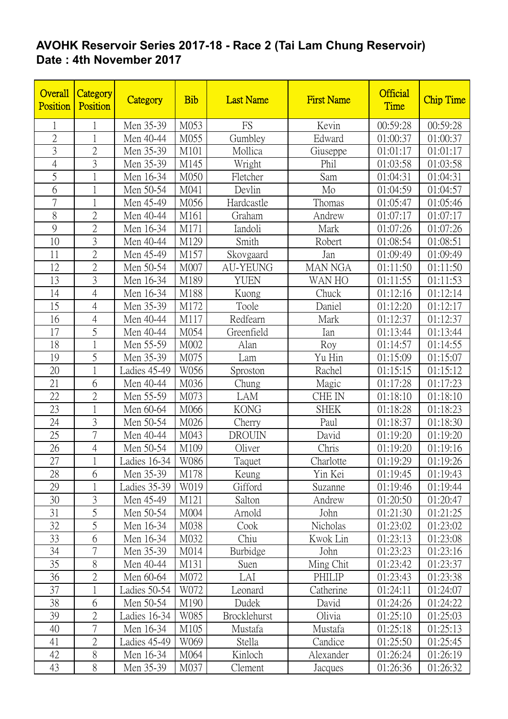## **AVOHK Reservoir Series 2017-18 - Race 2 (Tai Lam Chung Reservoir) Date : 4th November 2017**

| Overall<br>Position | Category<br>Position | Category       | <b>Bib</b> | <b>Last Name</b>    | <b>First Name</b> | <b>Official</b><br><b>Time</b> | <b>Chip Time</b> |
|---------------------|----------------------|----------------|------------|---------------------|-------------------|--------------------------------|------------------|
| 1                   | 1                    | Men 35-39      | M053       | FS                  | Kevin             | 00:59:28                       | 00:59:28         |
| $\overline{2}$      |                      | Men 40-44      | M055       | Gumbley             | Edward            | 01:00:37                       | 01:00:37         |
| 3                   | $\overline{2}$       | Men 35-39      | M101       | Mollica             | Giuseppe          | 01:01:17                       | 01:01:17         |
| $\overline{4}$      | $\overline{3}$       | Men 35-39      | M145       | Wright              | Phil              | 01:03:58                       | 01:03:58         |
| 5                   | $\mathbf 1$          | Men 16-34      | M050       | Fletcher            | Sam               | 01:04:31                       | 01:04:31         |
| 6                   |                      | Men 50-54      | M041       | Devlin              | Mo                | 01:04:59                       | 01:04:57         |
| 7                   | $\mathbf{1}$         | Men 45-49      | M056       | Hardcastle          | Thomas            | 01:05:47                       | 01:05:46         |
| 8                   | $\overline{2}$       | Men 40-44      | M161       | Graham              | Andrew            | 01:07:17                       | 01:07:17         |
| 9                   | $\overline{2}$       | Men 16-34      | M171       | Iandoli             | Mark              | 01:07:26                       | 01:07:26         |
| 10                  | 3                    | Men 40-44      | M129       | Smith               | Robert            | 01:08:54                       | 01:08:51         |
| 11                  | $\overline{2}$       | Men 45-49      | M157       | Skovgaard           | Jan               | 01:09:49                       | 01:09:49         |
| 12                  | $\overline{2}$       | Men 50-54      | M007       | <b>AU-YEUNG</b>     | <b>MAN NGA</b>    | 01:11:50                       | 01:11:50         |
| 13                  | 3                    | Men 16-34      | M189       | <b>YUEN</b>         | WAN HO            | 01:11:55                       | 01:11:53         |
| 14                  | $\overline{4}$       | Men 16-34      | M188       | Kuong               | Chuck             | 01:12:16                       | 01:12:14         |
| 15                  | $\overline{4}$       | Men 35-39      | M172       | Toole               | Daniel            | 01:12:20                       | 01:12:17         |
| 16                  | $\overline{4}$       | Men 40-44      | M117       | Redfearn            | Mark              | 01:12:37                       | 01:12:37         |
| 17                  | 5                    | Men 40-44      | M054       | Greenfield          | Ian               | 01:13:44                       | 01:13:44         |
| 18                  | $\mathbf{1}$         | Men 55-59      | M002       | Alan                | Roy               | 01:14:57                       | 01:14:55         |
| 19                  | 5                    | Men 35-39      | M075       | Lam                 | Yu Hin            | 01:15:09                       | 01:15:07         |
| 20                  | $\mathbf{1}$         | Ladies 45-49   | W056       | Sproston            | Rachel            | 01:15:15                       | 01:15:12         |
| 21                  | 6                    | Men 40-44      | M036       | Chung               | Magic             | 01:17:28                       | 01:17:23         |
| 22                  | $\overline{2}$       | Men 55-59      | M073       | LAM                 | CHE IN            | 01:18:10                       | 01:18:10         |
| 23                  | 1                    | Men 60-64      | M066       | <b>KONG</b>         | <b>SHEK</b>       | 01:18:28                       | 01:18:23         |
| 24                  | 3                    | Men 50-54      | M026       | Cherry              | Paul              | 01:18:37                       | 01:18:30         |
| 25                  | $\overline{7}$       | Men 40-44      | M043       | <b>DROUIN</b>       | David             | 01:19:20                       | 01:19:20         |
| 26                  | $\overline{4}$       | Men 50-54      | M109       | Oliver              | Chris             | 01:19:20                       | 01:19:16         |
| 27                  |                      | Ladies $16-34$ | W086       | Taquet              | Charlotte         | 01:19:29                       | 01:19:26         |
| 28                  | 6                    | Men 35-39      | M178       | Keung               | Yin Kei           | 01:19:45                       | 01:19:43         |
| 29                  |                      | Ladies 35-39   | W019       | Gifford             | Suzanne           | 01:19:46                       | 01:19:44         |
| 30                  | $\mathfrak{Z}$       | Men 45-49      | M121       | Salton              | Andrew            | 01:20:50                       | 01:20:47         |
| 31                  | 5                    | Men 50-54      | M004       | Arnold              | John              | 01:21:30                       | 01:21:25         |
| 32                  | 5                    | Men 16-34      | M038       | Cook                | Nicholas          | 01:23:02                       | 01:23:02         |
| 33                  | 6                    | Men 16-34      | M032       | Chiu                | Kwok Lin          | 01:23:13                       | 01:23:08         |
| 34                  | $\overline{7}$       | Men 35-39      | M014       | Burbidge            | John              | 01:23:23                       | 01:23:16         |
| 35                  | 8                    | Men 40-44      | M131       | Suen                | Ming Chit         | 01:23:42                       | 01:23:37         |
| 36                  | $\overline{2}$       | Men 60-64      | M072       | LAI                 | PHILIP            | 01:23:43                       | 01:23:38         |
| 37                  | $\mathbf{1}$         | Ladies 50-54   | W072       | Leonard             | Catherine         | 01:24:11                       | 01:24:07         |
| 38                  | 6                    | Men 50-54      | M190       | Dudek               | David             | 01:24:26                       | 01:24:22         |
| 39                  | $\overline{2}$       | Ladies 16-34   | W085       | <b>Brocklehurst</b> | Olivia            | 01:25:10                       | 01:25:03         |
| 40                  | $\sqrt{ }$           | Men 16-34      | M105       | Mustafa             | Mustafa           | 01:25:18                       | 01:25:13         |
| 41                  | $\overline{2}$       | Ladies 45-49   | W069       | Stella              | Candice           | 01:25:50                       | 01:25:45         |
| 42                  | $8\,$                | Men 16-34      | M064       | Kinloch             | Alexander         | 01:26:24                       | 01:26:19         |
| 43                  | 8                    | Men 35-39      | M037       | Clement             | Jacques           | 01:26:36                       | 01:26:32         |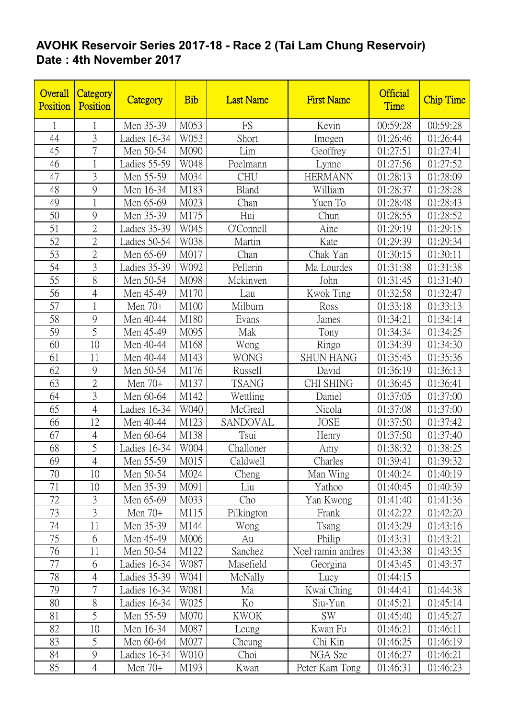## **AVOHK Reservoir Series 2017-18 - Race 2 (Tai Lam Chung Reservoir) Date : 4th November 2017**

| Overall<br>Position | Category<br>Position | Category     | <b>Bib</b> | <b>Last Name</b> | <b>First Name</b> | <b>Official</b><br>Time | <b>Chip Time</b> |
|---------------------|----------------------|--------------|------------|------------------|-------------------|-------------------------|------------------|
| $\mathbf{1}$        | 1                    | Men 35-39    | M053       | FS               | Kevin             | 00:59:28                | 00:59:28         |
| 44                  | 3                    | Ladies 16-34 | W053       | Short            | Imogen            | 01:26:46                | 01:26:44         |
| 45                  | 7                    | Men 50-54    | M090       | Lim              | Geoffrey          | 01:27:51                | 01:27:41         |
| 46                  | 1                    | Ladies 55-59 | W048       | Poelmann         | Lynne             | 01:27:56                | 01:27:52         |
| 47                  | 3                    | Men 55-59    | M034       | <b>CHU</b>       | <b>HERMANN</b>    | 01:28:13                | 01:28:09         |
| 48                  | 9                    | Men 16-34    | M183       | Bland            | William           | 01:28:37                | 01:28:28         |
| 49                  | $\mathbf{1}$         | Men 65-69    | M023       | Chan             | Yuen To           | 01:28:48                | 01:28:43         |
| 50                  | 9                    | Men 35-39    | M175       | Hui              | Chun              | 01:28:55                | 01:28:52         |
| 51                  | $\overline{2}$       | Ladies 35-39 | W045       | O'Connell        | Aine              | 01:29:19                | 01:29:15         |
| 52                  | $\overline{2}$       | Ladies 50-54 | W038       | Martin           | Kate              | 01:29:39                | 01:29:34         |
| 53                  | $\overline{2}$       | Men 65-69    | M017       | Chan             | Chak Yan          | 01:30:15                | 01:30:11         |
| 54                  | 3                    | Ladies 35-39 | W092       | Pellerin         | Ma Lourdes        | 01:31:38                | 01:31:38         |
| 55                  | 8                    | Men 50-54    | M098       | Mckinven         | John              | 01:31:45                | 01:31:40         |
| 56                  | $\overline{4}$       | Men 45-49    | M170       | Lau              | Kwok Ting         | 01:32:58                | 01:32:47         |
| 57                  | $\mathbf{1}$         | Men 70+      | M100       | Milburn          | Ross              | 01:33:18                | 01:33:13         |
| 58                  | 9                    | Men 40-44    | M180       | Evans            | James             | 01:34:21                | 01:34:14         |
| 59                  | 5                    | Men 45-49    | M095       | Mak              | Tony              | 01:34:34                | 01:34:25         |
| 60                  | 10                   | Men 40-44    | M168       | Wong             | Ringo             | 01:34:39                | 01:34:30         |
| 61                  | 11                   | Men 40-44    | M143       | <b>WONG</b>      | <b>SHUN HANG</b>  | 01:35:45                | 01:35:36         |
| 62                  | 9                    | Men 50-54    | M176       | Russell          | David             | 01:36:19                | 01:36:13         |
| 63                  | $\overline{2}$       | Men 70+      | M137       | <b>TSANG</b>     | <b>CHI SHING</b>  | 01:36:45                | 01:36:41         |
| 64                  | 3                    | Men 60-64    | M142       | Wettling         | Daniel            | 01:37:05                | 01:37:00         |
| 65                  | $\overline{4}$       | Ladies 16-34 | W040       | McGreal          | Nicola            | 01:37:08                | 01:37:00         |
| 66                  | 12                   | Men 40-44    | M123       | SANDOVAL         | <b>JOSE</b>       | 01:37:50                | 01:37:42         |
| 67                  | $\overline{4}$       | Men 60-64    | M138       | Tsui             | Henry             | 01:37:50                | 01:37:40         |
| 68                  | 5                    | Ladies 16-34 | W004       | Challoner        | Amy               | 01:38:32                | 01:38:25         |
| 69                  | $\overline{4}$       | Men 55-59    | M015       | Caldwell         | Charles           | 01:39:41                | 01:39:32         |
| 70                  | 10                   | Men 50-54    | M024       | Cheng            | Man Wing          | 01:40:24                | 01:40:19         |
| 71                  | 10                   | Men 35-39    | M091       | Liu              | Yathoo            | 01:40:45                | 01:40:39         |
| 72                  | $\mathfrak{Z}$       | Men 65-69    | M033       | Cho              | Yan Kwong         | 01:41:40                | 01:41:36         |
| 73                  | $\overline{3}$       | Men $70+$    | M115       | Pilkington       | Frank             | 01:42:22                | 01:42:20         |
| 74                  | 11                   | Men 35-39    | M144       | Wong             | Tsang             | 01:43:29                | 01:43:16         |
| 75                  | 6                    | Men 45-49    | M006       | Au               | Philip            | 01:43:31                | 01:43:21         |
| 76                  | 11                   | Men 50-54    | M122       | Sanchez          | Noel ramin andres | 01:43:38                | 01:43:35         |
| 77                  | 6                    | Ladies 16-34 | W087       | Masefield        | Georgina          | 01:43:45                | 01:43:37         |
| 78                  | $\overline{4}$       | Ladies 35-39 | W041       | McNally          | Lucy              | 01:44:15                |                  |
| 79                  | 7                    | Ladies 16-34 | W081       | Ma               | Kwai Ching        | 01:44:41                | 01:44:38         |
| 80                  | 8                    | Ladies 16-34 | W025       | Ko               | Siu-Yun           | 01:45:21                | 01:45:14         |
| 81                  | 5                    | Men 55-59    | M070       | <b>KWOK</b>      | <b>SW</b>         | 01:45:40                | 01:45:27         |
| 82                  | 10                   | Men 16-34    | M087       | Leung            | Kwan Fu           | 01:46:21                | 01:46:11         |
| 83                  | 5                    | Men 60-64    | M027       | Cheung           | Chi Kin           | 01:46:25                | 01:46:19         |
| 84                  | $\mathcal{G}$        | Ladies 16-34 | W010       | Choi             | NGA Sze           | 01:46:27                | 01:46:21         |
| 85                  | $\overline{4}$       | Men 70+      | M193       | Kwan             | Peter Kam Tong    | 01:46:31                | 01:46:23         |